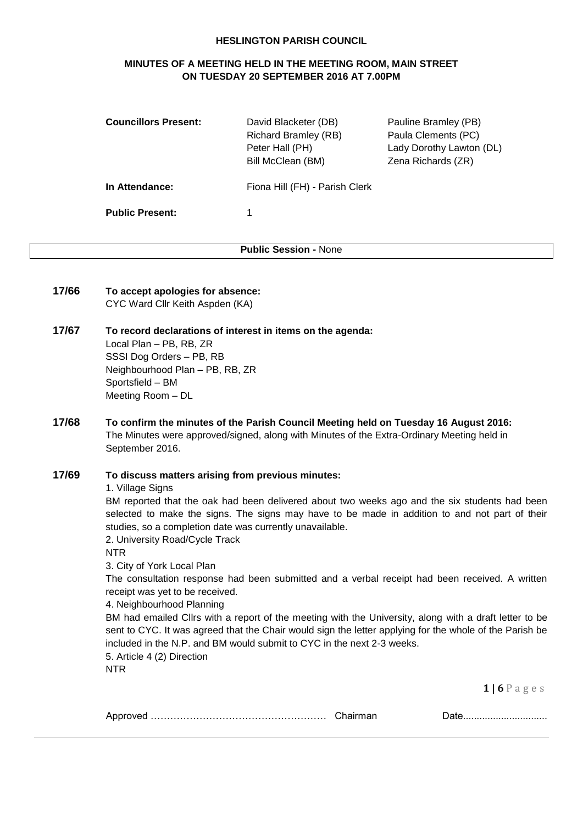#### **HESLINGTON PARISH COUNCIL**

# **MINUTES OF A MEETING HELD IN THE MEETING ROOM, MAIN STREET ON TUESDAY 20 SEPTEMBER 2016 AT 7.00PM**

| <b>Councillors Present:</b> | David Blacketer (DB)<br><b>Richard Bramley (RB)</b><br>Peter Hall (PH)<br>Bill McClean (BM) | Pauline Bramley (PB)<br>Paula Clements (PC)<br>Lady Dorothy Lawton (DL)<br>Zena Richards (ZR) |
|-----------------------------|---------------------------------------------------------------------------------------------|-----------------------------------------------------------------------------------------------|
| In Attendance:              | Fiona Hill (FH) - Parish Clerk                                                              |                                                                                               |
| <b>Public Present:</b>      |                                                                                             |                                                                                               |

**Public Session -** None

- **17/66 To accept apologies for absence:** CYC Ward Cllr Keith Aspden (KA)
- **17/67 To record declarations of interest in items on the agenda:** Local Plan – PB, RB, ZR SSSI Dog Orders – PB, RB Neighbourhood Plan – PB, RB, ZR Sportsfield – BM Meeting Room – DL
- **17/68 To confirm the minutes of the Parish Council Meeting held on Tuesday 16 August 2016:** The Minutes were approved/signed, along with Minutes of the Extra-Ordinary Meeting held in September 2016.

# **17/69 To discuss matters arising from previous minutes:**

1. Village Signs

BM reported that the oak had been delivered about two weeks ago and the six students had been selected to make the signs. The signs may have to be made in addition to and not part of their studies, so a completion date was currently unavailable.

2. University Road/Cycle Track

NTR

3. City of York Local Plan

The consultation response had been submitted and a verbal receipt had been received. A written receipt was yet to be received.

4. Neighbourhood Planning

BM had emailed Cllrs with a report of the meeting with the University, along with a draft letter to be sent to CYC. It was agreed that the Chair would sign the letter applying for the whole of the Parish be included in the N.P. and BM would submit to CYC in the next 2-3 weeks.

5. Article 4 (2) Direction

NTR

| ושר |  |  |
|-----|--|--|
|-----|--|--|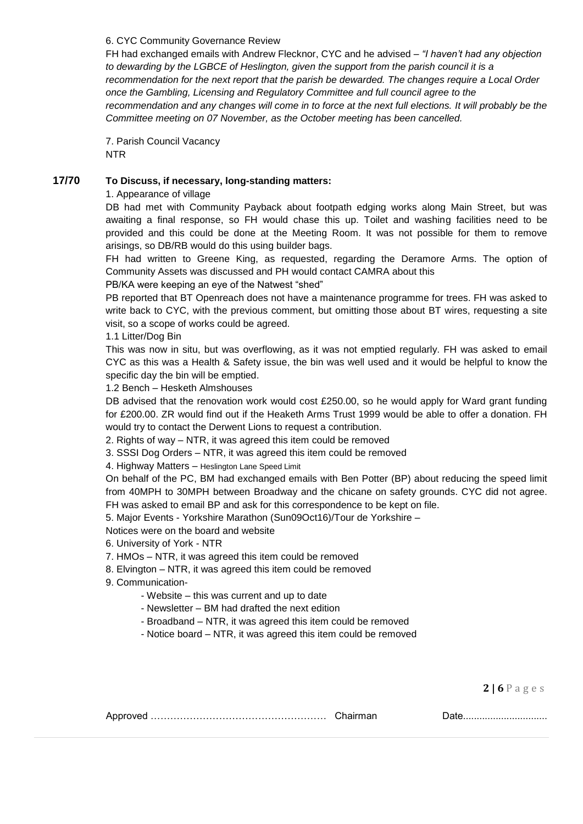#### 6. CYC Community Governance Review

FH had exchanged emails with Andrew Flecknor, CYC and he advised – *"I haven't had any objection to dewarding by the LGBCE of Heslington, given the support from the parish council it is a recommendation for the next report that the parish be dewarded. The changes require a Local Order once the Gambling, Licensing and Regulatory Committee and full council agree to the recommendation and any changes will come in to force at the next full elections. It will probably be the Committee meeting on 07 November, as the October meeting has been cancelled.*

7. Parish Council Vacancy NTR

## **17/70 To Discuss, if necessary, long-standing matters:**

#### 1. Appearance of village

DB had met with Community Payback about footpath edging works along Main Street, but was awaiting a final response, so FH would chase this up. Toilet and washing facilities need to be provided and this could be done at the Meeting Room. It was not possible for them to remove arisings, so DB/RB would do this using builder bags.

FH had written to Greene King, as requested, regarding the Deramore Arms. The option of Community Assets was discussed and PH would contact CAMRA about this

PB/KA were keeping an eye of the Natwest "shed"

PB reported that BT Openreach does not have a maintenance programme for trees. FH was asked to write back to CYC, with the previous comment, but omitting those about BT wires, requesting a site visit, so a scope of works could be agreed.

1.1 Litter/Dog Bin

This was now in situ, but was overflowing, as it was not emptied regularly. FH was asked to email CYC as this was a Health & Safety issue, the bin was well used and it would be helpful to know the specific day the bin will be emptied.

1.2 Bench – Hesketh Almshouses

DB advised that the renovation work would cost £250.00, so he would apply for Ward grant funding for £200.00. ZR would find out if the Heaketh Arms Trust 1999 would be able to offer a donation. FH would try to contact the Derwent Lions to request a contribution.

2. Rights of way – NTR, it was agreed this item could be removed

3. SSSI Dog Orders – NTR, it was agreed this item could be removed

4. Highway Matters – Heslington Lane Speed Limit

On behalf of the PC, BM had exchanged emails with Ben Potter (BP) about reducing the speed limit from 40MPH to 30MPH between Broadway and the chicane on safety grounds. CYC did not agree. FH was asked to email BP and ask for this correspondence to be kept on file.

5. Major Events - Yorkshire Marathon (Sun09Oct16)/Tour de Yorkshire –

Notices were on the board and website

6. University of York - NTR

7. HMOs – NTR, it was agreed this item could be removed

8. Elvington – NTR, it was agreed this item could be removed

9. Communication-

- Website – this was current and up to date

- Newsletter – BM had drafted the next edition

- Broadband – NTR, it was agreed this item could be removed

- Notice board – NTR, it was agreed this item could be removed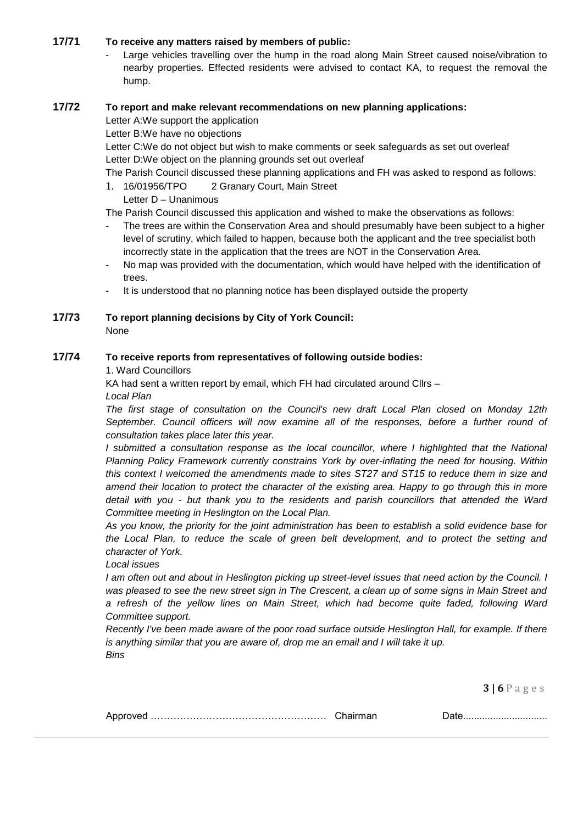# **17/71 To receive any matters raised by members of public:**

Large vehicles travelling over the hump in the road along Main Street caused noise/vibration to nearby properties. Effected residents were advised to contact KA, to request the removal the hump.

## **17/72 To report and make relevant recommendations on new planning applications:**

Letter A:We support the application

Letter B:We have no objections

Letter C:We do not object but wish to make comments or seek safeguards as set out overleaf Letter D:We object on the planning grounds set out overleaf

The Parish Council discussed these planning applications and FH was asked to respond as follows:

1. 16/01956/TPO 2 Granary Court, Main Street Letter D – Unanimous

The Parish Council discussed this application and wished to make the observations as follows:

- The trees are within the Conservation Area and should presumably have been subject to a higher level of scrutiny, which failed to happen, because both the applicant and the tree specialist both incorrectly state in the application that the trees are NOT in the Conservation Area.
- No map was provided with the documentation, which would have helped with the identification of trees.
- It is understood that no planning notice has been displayed outside the property

# **17/73 To report planning decisions by City of York Council:**

None

# **17/74 To receive reports from representatives of following outside bodies:**

1. Ward Councillors

KA had sent a written report by email, which FH had circulated around Cllrs –

*Local Plan*

*The first stage of consultation on the Council's new draft Local Plan closed on Monday 12th*  September. Council officers will now examine all of the responses, before a further round of *consultation takes place later this year.*

*I* submitted a consultation response as the local councillor, where *I* highlighted that the National *Planning Policy Framework currently constrains York by over-inflating the need for housing. Within this context I welcomed the amendments made to sites ST27 and ST15 to reduce them in size and amend their location to protect the character of the existing area. Happy to go through this in more detail with you - but thank you to the residents and parish councillors that attended the Ward Committee meeting in Heslington on the Local Plan.*

*As you know, the priority for the joint administration has been to establish a solid evidence base for the Local Plan, to reduce the scale of green belt development, and to protect the setting and character of York.*

## *Local issues*

*I* am often out and about in Heslington picking up street-level issues that need action by the Council. *I* was pleased to see the new street sign in The Crescent, a clean up of some signs in Main Street and *a refresh of the yellow lines on Main Street, which had become quite faded, following Ward Committee support.*

*Recently I've been made aware of the poor road surface outside Heslington Hall, for example. If there is anything similar that you are aware of, drop me an email and I will take it up. Bins*

| AUUL. |  |
|-------|--|
|       |  |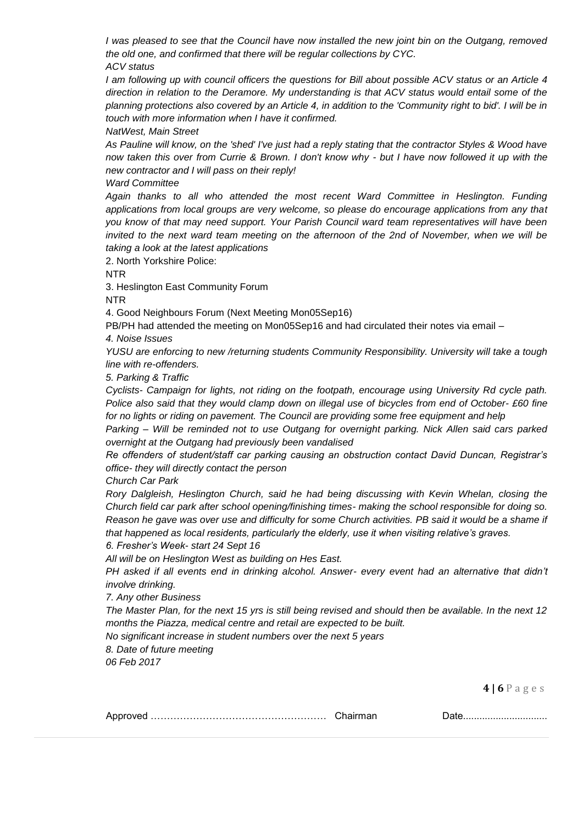*I was pleased to see that the Council have now installed the new joint bin on the Outgang, removed the old one, and confirmed that there will be regular collections by CYC. ACV status*

*I am following up with council officers the questions for Bill about possible ACV status or an Article 4 direction in relation to the Deramore. My understanding is that ACV status would entail some of the planning protections also covered by an Article 4, in addition to the 'Community right to bid'. I will be in touch with more information when I have it confirmed.*

*NatWest, Main Street*

*As Pauline will know, on the 'shed' I've just had a reply stating that the contractor Styles & Wood have now taken this over from Currie & Brown. I don't know why - but I have now followed it up with the new contractor and I will pass on their reply!*

*Ward Committee*

Again thanks to all who attended the most recent Ward Committee in Heslington. Funding *applications from local groups are very welcome, so please do encourage applications from any that you know of that may need support. Your Parish Council ward team representatives will have been invited to the next ward team meeting on the afternoon of the 2nd of November, when we will be taking a look at the latest applications*

2. North Yorkshire Police:

NTR

3. Heslington East Community Forum

NTR

4. Good Neighbours Forum (Next Meeting Mon05Sep16)

PB/PH had attended the meeting on Mon05Sep16 and had circulated their notes via email –

*4. Noise Issues*

*YUSU are enforcing to new /returning students Community Responsibility. University will take a tough line with re-offenders.*

*5. Parking & Traffic*

*Cyclists- Campaign for lights, not riding on the footpath, encourage using University Rd cycle path. Police also said that they would clamp down on illegal use of bicycles from end of October- £60 fine for no lights or riding on pavement. The Council are providing some free equipment and help*

*Parking – Will be reminded not to use Outgang for overnight parking. Nick Allen said cars parked overnight at the Outgang had previously been vandalised*

*Re offenders of student/staff car parking causing an obstruction contact David Duncan, Registrar's office- they will directly contact the person*

*Church Car Park*

*Rory Dalgleish, Heslington Church, said he had being discussing with Kevin Whelan, closing the Church field car park after school opening/finishing times- making the school responsible for doing so. Reason he gave was over use and difficulty for some Church activities. PB said it would be a shame if that happened as local residents, particularly the elderly, use it when visiting relative's graves. 6. Fresher's Week- start 24 Sept 16*

*All will be on Heslington West as building on Hes East.*

*PH asked if all events end in drinking alcohol. Answer- every event had an alternative that didn't involve drinking.*

*7. Any other Business*

*The Master Plan, for the next 15 yrs is still being revised and should then be available. In the next 12 months the Piazza, medical centre and retail are expected to be built.*

*No significant increase in student numbers over the next 5 years 8. Date of future meeting*

*06 Feb 2017*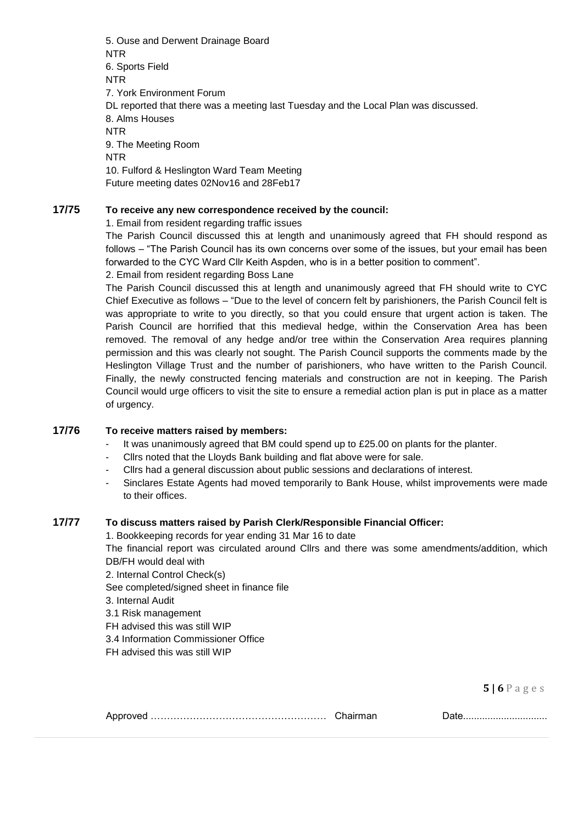5. Ouse and Derwent Drainage Board NTR 6. Sports Field NTR 7. York Environment Forum DL reported that there was a meeting last Tuesday and the Local Plan was discussed. 8. Alms Houses NTR 9. The Meeting Room NTR 10. Fulford & Heslington Ward Team Meeting Future meeting dates 02Nov16 and 28Feb17

## **17/75 To receive any new correspondence received by the council:**

1. Email from resident regarding traffic issues

The Parish Council discussed this at length and unanimously agreed that FH should respond as follows – "The Parish Council has its own concerns over some of the issues, but your email has been forwarded to the CYC Ward Cllr Keith Aspden, who is in a better position to comment". 2. Email from resident regarding Boss Lane

The Parish Council discussed this at length and unanimously agreed that FH should write to CYC Chief Executive as follows – "Due to the level of concern felt by parishioners, the Parish Council felt is was appropriate to write to you directly, so that you could ensure that urgent action is taken. The Parish Council are horrified that this medieval hedge, within the Conservation Area has been removed. The removal of any hedge and/or tree within the Conservation Area requires planning permission and this was clearly not sought. The Parish Council supports the comments made by the Heslington Village Trust and the number of parishioners, who have written to the Parish Council. Finally, the newly constructed fencing materials and construction are not in keeping. The Parish Council would urge officers to visit the site to ensure a remedial action plan is put in place as a matter of urgency.

#### **17/76 To receive matters raised by members:**

- It was unanimously agreed that BM could spend up to  $£25.00$  on plants for the planter.
- Cllrs noted that the Lloyds Bank building and flat above were for sale.
- Cllrs had a general discussion about public sessions and declarations of interest.
- Sinclares Estate Agents had moved temporarily to Bank House, whilst improvements were made to their offices.

### **17/77 To discuss matters raised by Parish Clerk/Responsible Financial Officer:**

1. Bookkeeping records for year ending 31 Mar 16 to date The financial report was circulated around Cllrs and there was some amendments/addition, which DB/FH would deal with

- 2. Internal Control Check(s)
- See completed/signed sheet in finance file
- 3. Internal Audit
- 3.1 Risk management
- FH advised this was still WIP
- 3.4 Information Commissioner Office
- FH advised this was still WIP

**5 | 6** P a g e s

|--|--|

Approved ……………………………………………… Chairman Date...............................